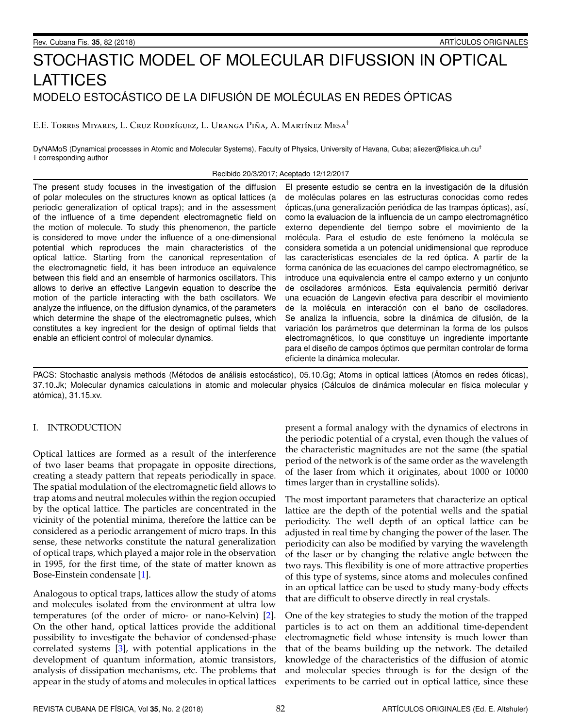# STOCHASTIC MODEL OF MOLECULAR DIFUSSION IN OPTICAL LATTICES MODELO ESTOCÁSTICO DE LA DIFUSIÓN DE MOLÉCULAS EN REDES ÓPTICAS

E.E. TORRES MIYARES, L. CRUZ RODRÍGUEZ, L. URANGA PIÑA, A. MARTÍNEZ MESA<sup>†</sup>

DyNAMoS (Dynamical processes in Atomic and Molecular Systems), Faculty of Physics, University of Havana, Cuba; aliezer@fisica.uh.cu<sup>+</sup> + corresponding author

Recibido 20/3/2017; Aceptado 12/12/2017

The present study focuses in the investigation of the diffusion of polar molecules on the structures known as optical lattices (a periodic generalization of optical traps); and in the assessment of the influence of a time dependent electromagnetic field on the motion of molecule. To study this phenomenon, the particle is considered to move under the influence of a one-dimensional potential which reproduces the main characteristics of the optical lattice. Starting from the canonical representation of the electromagnetic field, it has been introduce an equivalence between this field and an ensemble of harmonics oscillators. This allows to derive an effective Langevin equation to describe the motion of the particle interacting with the bath oscillators. We analyze the influence, on the diffusion dynamics, of the parameters which determine the shape of the electromagnetic pulses, which constitutes a key ingredient for the design of optimal fields that enable an efficient control of molecular dynamics.

El presente estudio se centra en la investigación de la difusión de moléculas polares en las estructuras conocidas como redes ópticas, (una generalización periódica de las trampas ópticas), así, como la evaluacion de la influencia de un campo electromagnético externo dependiente del tiempo sobre el movimiento de la molécula. Para el estudio de este fenómeno la molécula se considera sometida a un potencial unidimensional que reproduce las características esenciales de la red óptica. A partir de la forma canónica de las ecuaciones del campo electromagnético, se introduce una equivalencia entre el campo externo y un conjunto de osciladores armónicos. Esta equivalencia permitió derivar una ecuación de Langevin efectiva para describir el movimiento de la molécula en interacción con el baño de osciladores. Se analiza la influencia, sobre la dinámica de difusión, de la variación los parámetros que determinan la forma de los pulsos electromagnéticos, lo que constituye un ingrediente importante para el diseño de campos óptimos que permitan controlar de forma eficiente la dinámica molecular.

PACS: Stochastic analysis methods (Métodos de análisis estocástico), 05.10.Gg; Atoms in optical lattices (Átomos en redes óticas), 37.10.Jk; Molecular dynamics calculations in atomic and molecular physics (Cálculos de dinámica molecular en física molecular y atómica), 31.15.xv.

# I. INTRODUCTION

Optical lattices are formed as a result of the interference of two laser beams that propagate in opposite directions, creating a steady pattern that repeats periodically in space. The spatial modulation of the electromagnetic field allows to trap atoms and neutral molecules within the region occupied by the optical lattice. The particles are concentrated in the vicinity of the potential minima, therefore the lattice can be considered as a periodic arrangement of micro traps. In this sense, these networks constitute the natural generalization of optical traps, which played a major role in the observation in 1995, for the first time, of the state of matter known as Bose-Einstein condensate [1].

Analogous to optical traps, lattices allow the study of atoms and molecules isolated from the environment at ultra low temperatures (of the order of micro- or nano-Kelvin) [2]. On the other hand, optical lattices provide the additional possibility to investigate the behavior of condensed-phase correlated systems [3], with potential applications in the development of quantum information, atomic transistors, analysis of dissipation mechanisms, etc. The problems that appear in the study of atoms and molecules in optical lattices

present a formal analogy with the dynamics of electrons in the periodic potential of a crystal, even though the values of the characteristic magnitudes are not the same (the spatial period of the network is of the same order as the wavelength of the laser from which it originates, about 1000 or 10000 times larger than in crystalline solids).

The most important parameters that characterize an optical lattice are the depth of the potential wells and the spatial periodicity. The well depth of an optical lattice can be adjusted in real time by changing the power of the laser. The periodicity can also be modified by varying the wavelength of the laser or by changing the relative angle between the two rays. This flexibility is one of more attractive properties of this type of systems, since atoms and molecules confined in an optical lattice can be used to study many-body effects that are difficult to observe directly in real crystals.

One of the key strategies to study the motion of the trapped particles is to act on them an additional time-dependent electromagnetic field whose intensity is much lower than that of the beams building up the network. The detailed knowledge of the characteristics of the diffusion of atomic and molecular species through is for the design of the experiments to be carried out in optical lattice, since these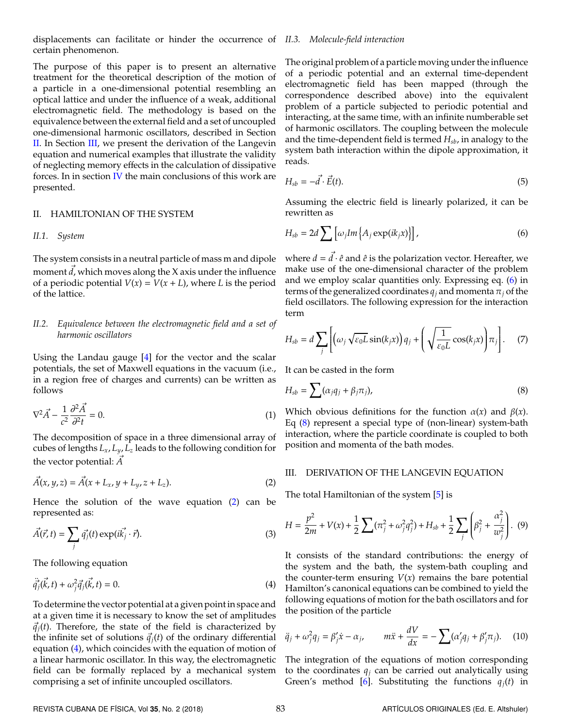displacements can facilitate or hinder the occurrence of *II.3. Molecule-field interaction* certain phenomenon.

The purpose of this paper is to present an alternative treatment for the theoretical description of the motion of a particle in a one-dimensional potential resembling an optical lattice and under the influence of a weak, additional electromagnetic field. The methodology is based on the equivalence between the external field and a set of uncoupled one-dimensional harmonic oscillators, described in Section [II.](#page-1-0) In Section [III,](#page-1-1) we present the derivation of the Langevin equation and numerical examples that illustrate the validity of neglecting memory effects in the calculation of dissipative forces. In in section [IV](#page-3-3) the main conclusions of this work are presented.

#### <span id="page-1-0"></span>II. HAMILTONIAN OF THE SYSTEM

#### *II.1. System*

The system consists in a neutral particle of mass m and dipole moment  $d$ , which moves along the X axis under the influence of a periodic potential  $V(x) = V(x + L)$ , where *L* is the period of the lattice.

### *II.2. Equivalence between the electromagnetic field and a set of harmonic oscillators*

Using the Landau gauge [\[4\]](#page-3-4) for the vector and the scalar potentials, the set of Maxwell equations in the vacuum (i.e., in a region free of charges and currents) can be written as follows

$$
\nabla^2 \vec{A} - \frac{1}{c^2} \frac{\partial^2 \vec{A}}{\partial^2 t} = 0.
$$
 (1)

The decomposition of space in a three dimensional array of cubes of lengths *Lx*, *Ly*, *L<sup>z</sup>* leads to the following condition for the vector potential: *A*~

<span id="page-1-2"></span>
$$
\vec{A}(x, y, z) = \vec{A}(x + L_x, y + L_y, z + L_z).
$$
 (2)

Hence the solution of the wave equation [\(2\)](#page-1-2) can be represented as:

$$
\vec{A}(\vec{r},t) = \sum_{j} \vec{q_j}(t) \exp(i\vec{k_j} \cdot \vec{r}).
$$
\n(3)

<span id="page-1-3"></span>The following equation

$$
\ddot{\vec{q}}_j(\vec{k},t) + \omega_j^2 \vec{q}_j(\vec{k},t) = 0.
$$
 (4)

To determine the vector potential at a given point in space and at a given time it is necessary to know the set of amplitudes  $\vec{q}_i(t)$ . Therefore, the state of the field is characterized by the infinite set of solutions  $\vec{q}_i(t)$  of the ordinary differential equation [\(4\)](#page-1-3), which coincides with the equation of motion of a linear harmonic oscillator. In this way, the electromagnetic field can be formally replaced by a mechanical system comprising a set of infinite uncoupled oscillators.

# The original problem of a particle moving under the influence of a periodic potential and an external time-dependent electromagnetic field has been mapped (through the correspondence described above) into the equivalent problem of a particle subjected to periodic potential and interacting, at the same time, with an infinite numberable set of harmonic oscillators. The coupling between the molecule and the time-dependent field is termed *Hsb*, in analogy to the system bath interaction within the dipole approximation, it

$$
H_{sb} = -\vec{d} \cdot \vec{E}(t). \tag{5}
$$

<span id="page-1-4"></span>Assuming the electric field is linearly polarized, it can be rewritten as

$$
H_{sb} = 2d \sum \left[ \omega_j Im \left\{ A_j \exp(ik_j x) \right\} \right],
$$
 (6)

where  $d = \vec{d} \cdot \hat{e}$  and  $\hat{e}$  is the polarization vector. Hereafter, we make use of the one-dimensional character of the problem and we employ scalar quantities only. Expressing eq. [\(6\)](#page-1-4) in terms of the generalized coordinates  $q_j$  and momenta  $\pi_j$  of the field oscillators. The following expression for the interaction term

$$
H_{sb} = d \sum_{j} \left[ \left( \omega_{j} \sqrt{\varepsilon_{0} L} \sin(k_{j} x) \right) q_{j} + \left( \sqrt{\frac{1}{\varepsilon_{0} L}} \cos(k_{j} x) \right) \pi_{j} \right]. \tag{7}
$$

It can be casted in the form

reads.

<span id="page-1-5"></span>
$$
H_{sb} = \sum (\alpha_j q_j + \beta_j \pi_j), \tag{8}
$$

Which obvious definitions for the function  $\alpha(x)$  and  $\beta(x)$ . Eq [\(8\)](#page-1-5) represent a special type of (non-linear) system-bath interaction, where the particle coordinate is coupled to both position and momenta of the bath modes.

#### <span id="page-1-1"></span>III. DERIVATION OF THE LANGEVIN EQUATION

The total Hamiltonian of the system [\[5\]](#page-3-5) is

$$
H = \frac{p^2}{2m} + V(x) + \frac{1}{2} \sum (\pi_j^2 + \omega_j^2 q_j^2) + H_{sb} + \frac{1}{2} \sum_j \left( \beta_j^2 + \frac{\alpha_j^2}{w_j^2} \right). \tag{9}
$$

It consists of the standard contributions: the energy of the system and the bath, the system-bath coupling and the counter-term ensuring  $V(x)$  remains the bare potential Hamilton's canonical equations can be combined to yield the following equations of motion for the bath oscillators and for the position of the particle

$$
\ddot{q}_j + \omega_j^2 q_j = \beta'_j \dot{x} - \alpha_j, \qquad m\ddot{x} + \frac{dV}{dx} = -\sum (\alpha'_j q_j + \beta'_j \pi_j). \tag{10}
$$

The integration of the equations of motion corresponding to the coordinates  $q_j$  can be carried out analytically using Green's method [\[6\]](#page-3-6). Substituting the functions  $q_i(t)$  in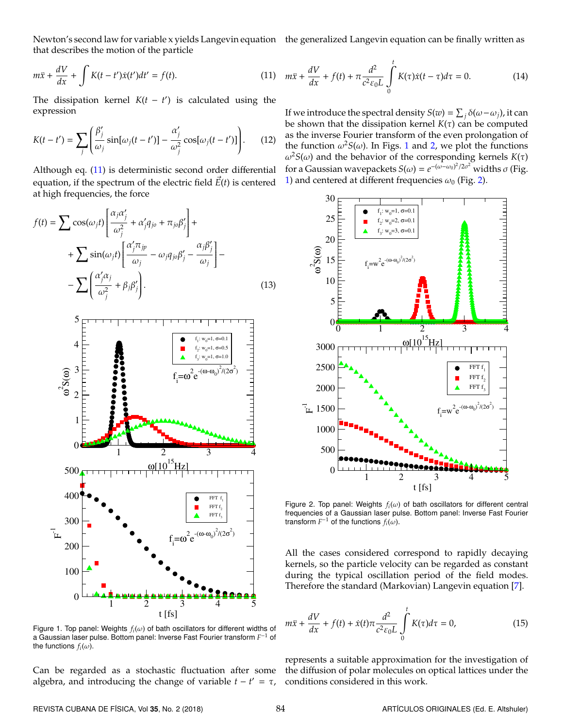that describes the motion of the particle

$$
m\ddot{x} + \frac{dV}{dx} + \int K(t - t')\dot{x}(t')dt' = f(t).
$$
 (11)

The dissipation kernel  $K(t - t')$  is calculated using the expression

$$
K(t-t') = \sum_{j} \left( \frac{\beta_j'}{\omega_j} \sin[\omega_j(t-t')] - \frac{\alpha_j'}{\omega_j^2} \cos[\omega_j(t-t')] \right). \tag{12}
$$

Although eq. [\(11\)](#page-2-0) is deterministic second order differential equation, if the spectrum of the electric field  $\vec{E}(t)$  is centered at high frequencies, the force

$$
f(t) = \sum \cos(\omega_j t) \left[ \frac{\alpha_j \alpha'_j}{\omega_j^2} + \alpha'_j q_{j0} + \pi_{j0} \beta'_j \right] +
$$
  
+ 
$$
\sum \sin(\omega_j t) \left[ \frac{\alpha'_j \pi_{jp}}{\omega_j} - \omega_j q_{j0} \beta'_j - \frac{\alpha_j \beta'_j}{\omega_j} \right] -
$$
  
- 
$$
\sum \left( \frac{\alpha'_j \alpha_j}{\omega_j^2} + \beta_j \beta'_j \right).
$$
 (13)

<span id="page-2-1"></span>

Figure 1. Top panel: Weights  $f_i(\omega)$  of bath oscillators for different widths of a Gaussian laser pulse. Bottom panel: Inverse Fast Fourier transform *F* <sup>−</sup><sup>1</sup> of the functions  $f_i(\omega)$ .

Can be regarded as a stochastic fluctuation after some algebra, and introducing the change of variable  $t - t' = \tau$ ,

Newton's second law for variable x yields Langevin equation the generalized Langevin equation can be finally written as

<span id="page-2-0"></span>
$$
m\ddot{x} + \frac{dV}{dx} + f(t) + \pi \frac{d^2}{c^2 \varepsilon_0 L} \int\limits_0^t K(\tau) \dot{x}(t - \tau) d\tau = 0.
$$
 (14)

If we introduce the spectral density  $S(w) = \sum_j \delta(\omega - \omega_j)$ , it can be shown that the dissipation kernel  $K(\tau)$  can be computed as the inverse Fourier transform of the even prolongation of the function  $\omega^2 S(\omega)$ . In Figs. [1](#page-2-1) and [2,](#page-2-2) we plot the functions  $ω<sup>2</sup>S(ω)$  and the behavior of the corresponding kernels  $K(τ)$ for a Gaussian wavepackets  $S(\omega) = e^{-(\omega - \omega_0)^2/2\sigma^2}$  widths  $\sigma$  (Fig. [1\)](#page-2-1) and centered at different frequencies  $\omega_0$  (Fig. [2\)](#page-2-2).

<span id="page-2-2"></span>

Figure 2. Top panel: Weights  $f_i(\omega)$  of bath oscillators for different central frequencies of a Gaussian laser pulse. Bottom panel: Inverse Fast Fourier transform  $F^{-1}$  of the functions  $f_i(\omega)$ .

All the cases considered correspond to rapidly decaying kernels, so the particle velocity can be regarded as constant during the typical oscillation period of the field modes. Therefore the standard (Markovian) Langevin equation [\[7\]](#page-3-7).

$$
m\ddot{x} + \frac{dV}{dx} + f(t) + \dot{x}(t)\pi \frac{d^2}{c^2 \varepsilon_0 L} \int_{0}^{t} K(\tau) d\tau = 0,
$$
 (15)

represents a suitable approximation for the investigation of the diffusion of polar molecules on optical lattices under the conditions considered in this work.